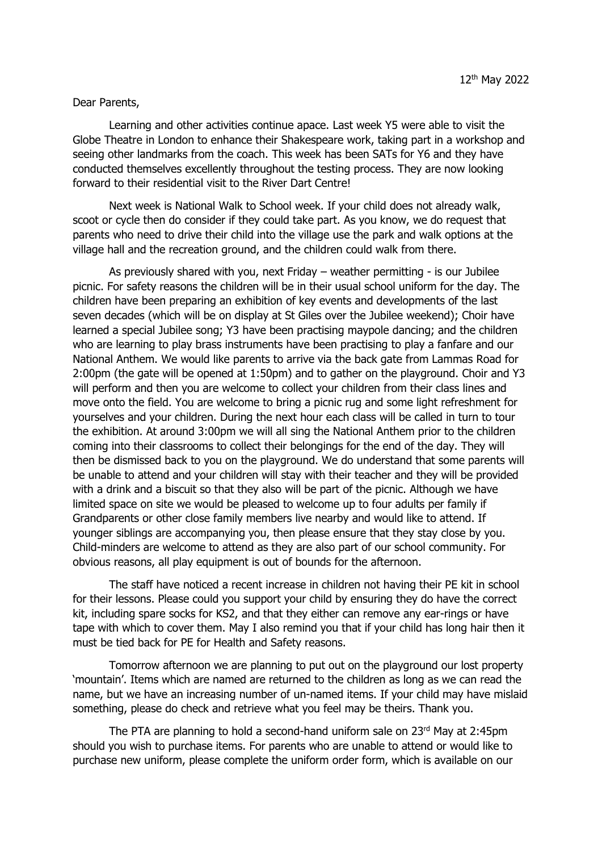## Dear Parents,

Learning and other activities continue apace. Last week Y5 were able to visit the Globe Theatre in London to enhance their Shakespeare work, taking part in a workshop and seeing other landmarks from the coach. This week has been SATs for Y6 and they have conducted themselves excellently throughout the testing process. They are now looking forward to their residential visit to the River Dart Centre!

Next week is National Walk to School week. If your child does not already walk, scoot or cycle then do consider if they could take part. As you know, we do request that parents who need to drive their child into the village use the park and walk options at the village hall and the recreation ground, and the children could walk from there.

As previously shared with you, next Friday – weather permitting - is our Jubilee picnic. For safety reasons the children will be in their usual school uniform for the day. The children have been preparing an exhibition of key events and developments of the last seven decades (which will be on display at St Giles over the Jubilee weekend); Choir have learned a special Jubilee song; Y3 have been practising maypole dancing; and the children who are learning to play brass instruments have been practising to play a fanfare and our National Anthem. We would like parents to arrive via the back gate from Lammas Road for 2:00pm (the gate will be opened at 1:50pm) and to gather on the playground. Choir and Y3 will perform and then you are welcome to collect your children from their class lines and move onto the field. You are welcome to bring a picnic rug and some light refreshment for yourselves and your children. During the next hour each class will be called in turn to tour the exhibition. At around 3:00pm we will all sing the National Anthem prior to the children coming into their classrooms to collect their belongings for the end of the day. They will then be dismissed back to you on the playground. We do understand that some parents will be unable to attend and your children will stay with their teacher and they will be provided with a drink and a biscuit so that they also will be part of the picnic. Although we have limited space on site we would be pleased to welcome up to four adults per family if Grandparents or other close family members live nearby and would like to attend. If younger siblings are accompanying you, then please ensure that they stay close by you. Child-minders are welcome to attend as they are also part of our school community. For obvious reasons, all play equipment is out of bounds for the afternoon.

The staff have noticed a recent increase in children not having their PE kit in school for their lessons. Please could you support your child by ensuring they do have the correct kit, including spare socks for KS2, and that they either can remove any ear-rings or have tape with which to cover them. May I also remind you that if your child has long hair then it must be tied back for PE for Health and Safety reasons.

Tomorrow afternoon we are planning to put out on the playground our lost property 'mountain'. Items which are named are returned to the children as long as we can read the name, but we have an increasing number of un-named items. If your child may have mislaid something, please do check and retrieve what you feel may be theirs. Thank you.

The PTA are planning to hold a second-hand uniform sale on 23rd May at 2:45pm should you wish to purchase items. For parents who are unable to attend or would like to purchase new uniform, please complete the uniform order form, which is available on our